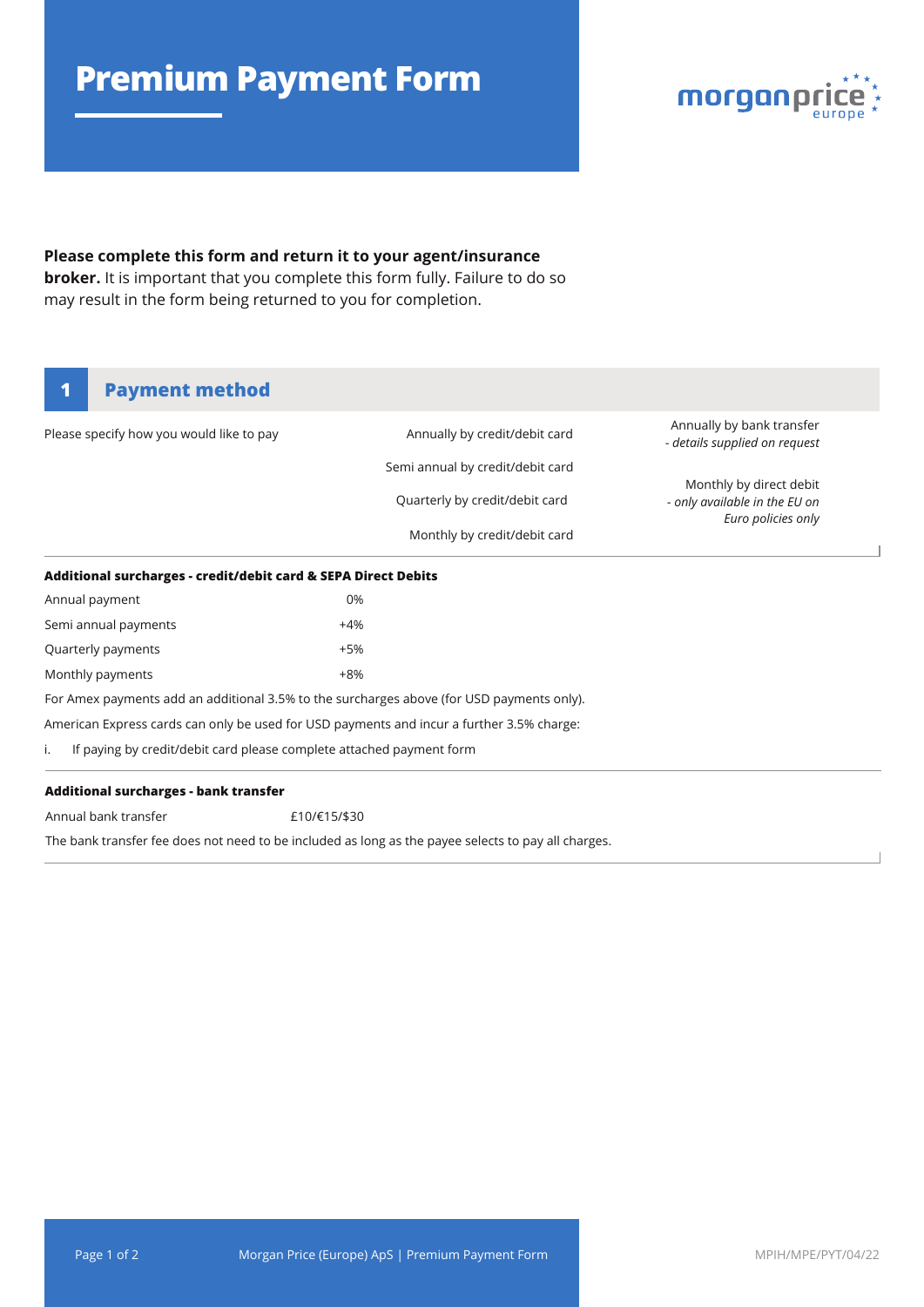# **Premium Payment Form**



### **Please complete this form and return it to your agent/insurance**

**broker.** It is important that you complete this form fully. Failure to do so may result in the form being returned to you for completion.

## **1 Payment method**

| Please specify how you would like to pay                                                  | Annually by credit/debit card    | Annually by bank transfer<br>- details supplied on request                     |  |
|-------------------------------------------------------------------------------------------|----------------------------------|--------------------------------------------------------------------------------|--|
|                                                                                           | Semi annual by credit/debit card |                                                                                |  |
|                                                                                           | Quarterly by credit/debit card   | Monthly by direct debit<br>- only available in the EU on<br>Euro policies only |  |
|                                                                                           | Monthly by credit/debit card     |                                                                                |  |
| Additional surcharges - credit/debit card & SEPA Direct Debits                            |                                  |                                                                                |  |
| Annual payment                                                                            | 0%                               |                                                                                |  |
| Semi annual payments                                                                      | +4%                              |                                                                                |  |
| Quarterly payments                                                                        | +5%                              |                                                                                |  |
| Monthly payments                                                                          | $+8%$                            |                                                                                |  |
| For Amex payments add an additional 3.5% to the surcharges above (for USD payments only). |                                  |                                                                                |  |
| American Express cards can only be used for USD payments and incur a further 3.5% charge: |                                  |                                                                                |  |
| If paying by credit/debit card please complete attached payment form                      |                                  |                                                                                |  |
|                                                                                           |                                  |                                                                                |  |

#### **Additional surcharges - bank transfer**

Annual bank transfer

£10/€15/\$30

The bank transfer fee does not need to be included as long as the payee selects to pay all charges.